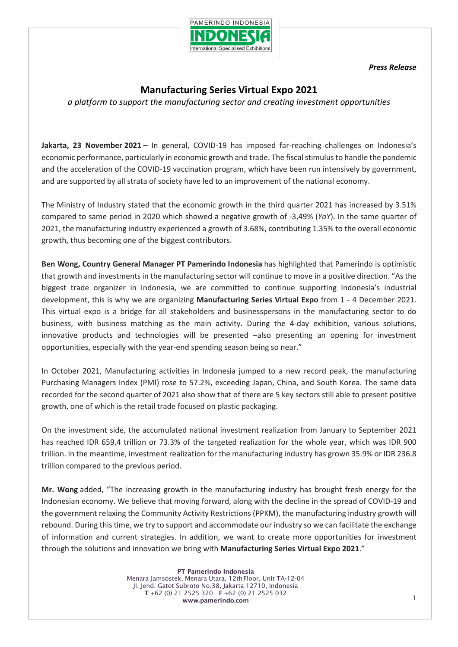

*Press Release*

## **Manufacturing Series Virtual Expo 2021**

*a platform to support the manufacturing sector and creating investment opportunities*

**Jakarta, 23 November 2021** – In general, COVID-19 has imposed far-reaching challenges on Indonesia's economic performance, particularly in economic growth and trade. The fiscal stimulus to handle the pandemic and the acceleration of the COVID-19 vaccination program, which have been run intensively by government, and are supported by all strata of society have led to an improvement of the national economy.

The Ministry of Industry stated that the economic growth in the third quarter 2021 has increased by 3.51% compared to same period in 2020 which showed a negative growth of -3,49% (*YoY*). In the same quarter of 2021, the manufacturing industry experienced a growth of 3.68%, contributing 1.35% to the overall economic growth, thus becoming one of the biggest contributors.

**Ben Wong, Country General Manager PT Pamerindo Indonesia** has highlighted that Pamerindo is optimistic that growth and investments in the manufacturing sector will continue to move in a positive direction. "As the biggest trade organizer in Indonesia, we are committed to continue supporting Indonesia's industrial development, this is why we are organizing **Manufacturing Series Virtual Expo** from 1 - 4 December 2021. This virtual expo is a bridge for all stakeholders and businesspersons in the manufacturing sector to do business, with business matching as the main activity. During the 4-day exhibition, various solutions, innovative products and technologies will be presented –also presenting an opening for investment opportunities, especially with the year-end spending season being so near."

In October 2021, Manufacturing activities in Indonesia jumped to a new record peak, the manufacturing Purchasing Managers Index (PMI) rose to 57.2%, exceeding Japan, China, and South Korea. The same data recorded for the second quarter of 2021 also show that of there are 5 key sectors still able to present positive growth, one of which is the retail trade focused on plastic packaging.

On the investment side, the accumulated national investment realization from January to September 2021 has reached IDR 659,4 trillion or 73.3% of the targeted realization for the whole year, which was IDR 900 trillion. In the meantime, investment realization for the manufacturing industry has grown 35.9% or IDR 236.8 trillion compared to the previous period.

**Mr. Wong** added, "The increasing growth in the manufacturing industry has brought fresh energy for the Indonesian economy. We believe that moving forward, along with the decline in the spread of COVID-19 and the government relaxing the Community Activity Restrictions (PPKM), the manufacturing industry growth will rebound. During this time, we try to support and accommodate our industry so we can facilitate the exchange of information and current strategies. In addition, we want to create more opportunities for investment through the solutions and innovation we bring with **Manufacturing Series Virtual Expo 2021**."

> PT Pamerindo Indonesia Menara Jamsostek, Menara Utara, 12th Floor, Unit TA-12-04 JI. Jend. Gatot Subroto No.38, Jakarta 12710, Indonesia T +62 (0) 21 2525 320 F +62 (0) 21 2525 032 www.pamerindo.com 1